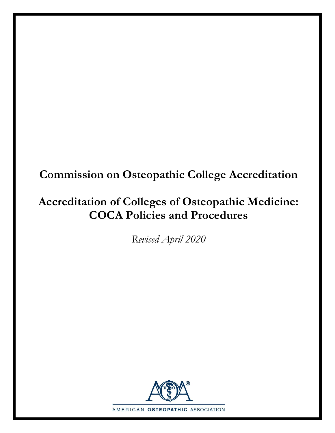# **Commission on Osteopathic College Accreditation**

# **Accreditation of Colleges of Osteopathic Medicine: COCA Policies and Procedures**

*Revised April 2020*

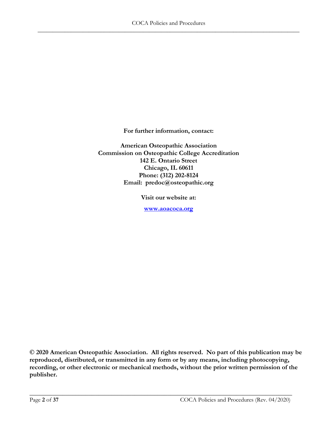**For further information, contact:**

**American Osteopathic Association Commission on Osteopathic College Accreditation 142 E. Ontario Street Chicago, IL 60611 Phone: (312) 202-8124 Email: predoc@osteopathic.org**

**Visit our website at:**

**[www.aoacoca.org](http://www.aoacoca.org/)**

**© 2020 American Osteopathic Association. All rights reserved. No part of this publication may be reproduced, distributed, or transmitted in any form or by any means, including photocopying, recording, or other electronic or mechanical methods, without the prior written permission of the publisher.**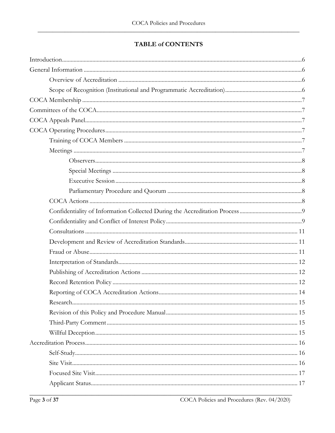## TABLE of CONTENTS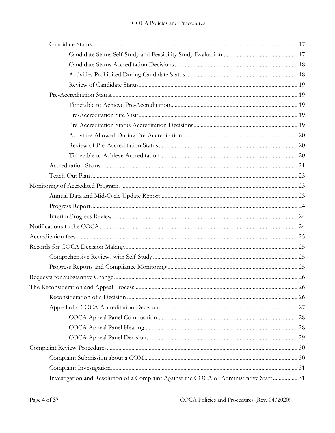| Investigation and Resolution of a Complaint Against the COCA or Administrative Staff 31 |  |
|-----------------------------------------------------------------------------------------|--|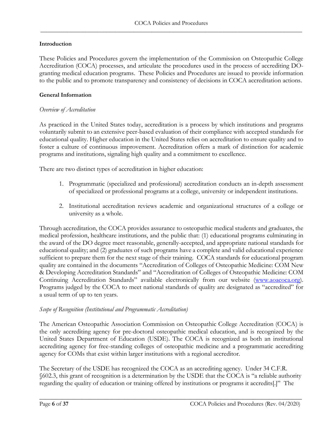### <span id="page-5-0"></span>**Introduction**

These Policies and Procedures govern the implementation of the Commission on Osteopathic College Accreditation (COCA) processes, and articulate the procedures used in the process of accrediting DOgranting medical education programs. These Policies and Procedures are issued to provide information to the public and to promote transparency and consistency of decisions in COCA accreditation actions.

#### <span id="page-5-1"></span>**General Information**

#### <span id="page-5-2"></span>*Overview of Accreditation*

As practiced in the United States today, accreditation is a process by which institutions and programs voluntarily submit to an extensive peer-based evaluation of their compliance with accepted standards for educational quality. Higher education in the United States relies on accreditation to ensure quality and to foster a culture of continuous improvement. Accreditation offers a mark of distinction for academic programs and institutions, signaling high quality and a commitment to excellence.

There are two distinct types of accreditation in higher education:

- 1. Programmatic (specialized and professional) accreditation conducts an in-depth assessment of specialized or professional programs at a college, university or independent institutions.
- 2. Institutional accreditation reviews academic and organizational structures of a college or university as a whole.

Through accreditation, the COCA provides assurance to osteopathic medical students and graduates, the medical profession, healthcare institutions, and the public that: (1) educational programs culminating in the award of the DO degree meet reasonable, generally-accepted, and appropriate national standards for educational quality; and (2) graduates of such programs have a complete and valid educational experience sufficient to prepare them for the next stage of their training. COCA standards for educational program quality are contained in the documents "Accreditation of Colleges of Osteopathic Medicine: COM New & Developing Accreditation Standards" and "Accreditation of Colleges of Osteopathic Medicine: COM Continuing Accreditation Standards" available electronically from our website [\(www.aoacoca.org\)](http://www.aoacoca.org/). Programs judged by the COCA to meet national standards of quality are designated as "accredited" for a usual term of up to ten years.

#### <span id="page-5-3"></span>*Scope of Recognition (Institutional and Programmatic Accreditation)*

The American Osteopathic Association Commission on Osteopathic College Accreditation (COCA) is the only accrediting agency for pre-doctoral osteopathic medical education, and is recognized by the United States Department of Education (USDE). The COCA is recognized as both an institutional accrediting agency for free-standing colleges of osteopathic medicine and a programmatic accrediting agency for COMs that exist within larger institutions with a regional accreditor.

The Secretary of the USDE has recognized the COCA as an accrediting agency. Under 34 C.F.R. §602.3, this grant of recognition is a determination by the USDE that the COCA is "a reliable authority regarding the quality of education or training offered by institutions or programs it accredits[.]" The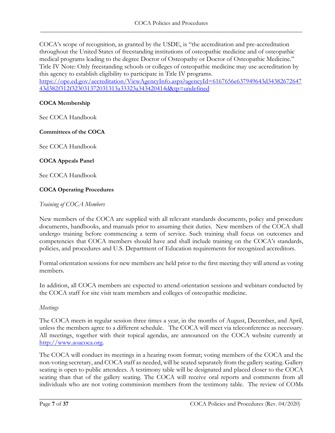COCA's scope of recognition, as granted by the USDE, is "the accreditation and pre-accreditation throughout the United States of freestanding institutions of osteopathic medicine and of osteopathic medical programs leading to the degree Doctor of Osteopathy or Doctor of Osteopathic Medicine." Title IV Note: Only freestanding schools or colleges of osteopathic medicine may use accreditation by this agency to establish eligibility to participate in Title IV programs.

[https://ope.ed.gov/accreditation/ViewAgencyInfo.aspx?agencyId=6167656e637949643d34382672647](https://ope.ed.gov/accreditation/ViewAgencyInfo.aspx?agencyId=6167656e637949643d3438267264743d382f312f323031372031313a33323a343420414d&tp=undefined) [43d382f312f323031372031313a33323a343420414d&tp=undefined](https://ope.ed.gov/accreditation/ViewAgencyInfo.aspx?agencyId=6167656e637949643d3438267264743d382f312f323031372031313a33323a343420414d&tp=undefined)

### <span id="page-6-0"></span>**COCA Membership**

See COCA Handbook

#### <span id="page-6-1"></span>**Committees of the COCA**

See COCA Handbook

### <span id="page-6-2"></span>**COCA Appeals Panel**

See COCA Handbook

### <span id="page-6-3"></span>**COCA Operating Procedures**

#### <span id="page-6-4"></span>*Training of COCA Members*

New members of the COCA are supplied with all relevant standards documents, policy and procedure documents, handbooks, and manuals prior to assuming their duties. New members of the COCA shall undergo training before commencing a term of service. Such training shall focus on outcomes and competencies that COCA members should have and shall include training on the COCA's standards, policies, and procedures and U.S. Department of Education requirements for recognized accreditors.

Formal orientation sessions for new members are held prior to the first meeting they will attend as voting members.

In addition, all COCA members are expected to attend orientation sessions and webinars conducted by the COCA staff for site visit team members and colleges of osteopathic medicine.

#### <span id="page-6-5"></span>*Meetings*

The COCA meets in regular session three times a year, in the months of August, December, and April, unless the members agree to a different schedule. The COCA will meet via teleconference as necessary. All meetings, together with their topical agendas, are announced on the COCA website currently at [http://www.aoacoca.org.](http://www.aoacoca.org/)

The COCA will conduct its meetings in a hearing room format; voting members of the COCA and the non-voting secretary, and COCA staff as needed, will be seated separately from the gallery seating. Gallery seating is open to public attendees. A testimony table will be designated and placed closer to the COCA seating than that of the gallery seating. The COCA will receive oral reports and comments from all individuals who are not voting commission members from the testimony table. The review of COMs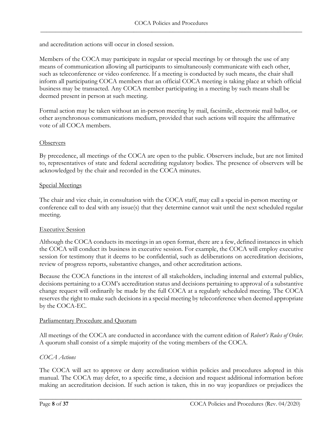and accreditation actions will occur in closed session.

Members of the COCA may participate in regular or special meetings by or through the use of any means of communication allowing all participants to simultaneously communicate with each other, such as teleconference or video conference. If a meeting is conducted by such means, the chair shall inform all participating COCA members that an official COCA meeting is taking place at which official business may be transacted. Any COCA member participating in a meeting by such means shall be deemed present in person at such meeting.

Formal action may be taken without an in-person meeting by mail, facsimile, electronic mail ballot, or other asynchronous communications medium, provided that such actions will require the affirmative vote of all COCA members.

#### <span id="page-7-0"></span>**Observers**

By precedence, all meetings of the COCA are open to the public. Observers include, but are not limited to, representatives of state and federal accrediting regulatory bodies. The presence of observers will be acknowledged by the chair and recorded in the COCA minutes.

#### <span id="page-7-1"></span>Special Meetings

The chair and vice chair, in consultation with the COCA staff, may call a special in-person meeting or conference call to deal with any issue(s) that they determine cannot wait until the next scheduled regular meeting.

#### <span id="page-7-2"></span>Executive Session

Although the COCA conducts its meetings in an open format, there are a few, defined instances in which the COCA will conduct its business in executive session. For example, the COCA will employ executive session for testimony that it deems to be confidential, such as deliberations on accreditation decisions, review of progress reports, substantive changes, and other accreditation actions.

Because the COCA functions in the interest of all stakeholders, including internal and external publics, decisions pertaining to a COM's accreditation status and decisions pertaining to approval of a substantive change request will ordinarily be made by the full COCA at a regularly scheduled meeting. The COCA reserves the right to make such decisions in a special meeting by teleconference when deemed appropriate by the COCA-EC.

#### <span id="page-7-3"></span>Parliamentary Procedure and Quorum

All meetings of the COCA are conducted in accordance with the current edition of *Robert's Rules of Order.* A quorum shall consist of a simple majority of the voting members of the COCA.

#### <span id="page-7-4"></span>*COCA Actions*

The COCA will act to approve or deny accreditation within policies and procedures adopted in this manual. The COCA may defer, to a specific time, a decision and request additional information before making an accreditation decision. If such action is taken, this in no way jeopardizes or prejudices the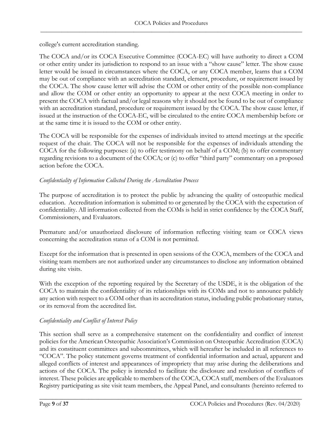college's current accreditation standing.

The COCA and/or its COCA Executive Committee (COCA-EC) will have authority to direct a COM or other entity under its jurisdiction to respond to an issue with a "show cause" letter. The show cause letter would be issued in circumstances where the COCA, or any COCA member, learns that a COM may be out of compliance with an accreditation standard, element, procedure, or requirement issued by the COCA. The show cause letter will advise the COM or other entity of the possible non-compliance and allow the COM or other entity an opportunity to appear at the next COCA meeting in order to present the COCA with factual and/or legal reasons why it should not be found to be out of compliance with an accreditation standard, procedure or requirement issued by the COCA. The show cause letter, if issued at the instruction of the COCA-EC, will be circulated to the entire COCA membership before or at the same time it is issued to the COM or other entity.

The COCA will be responsible for the expenses of individuals invited to attend meetings at the specific request of the chair. The COCA will not be responsible for the expenses of individuals attending the COCA for the following purposes: (a) to offer testimony on behalf of a COM; (b) to offer commentary regarding revisions to a document of the COCA; or (c) to offer "third party" commentary on a proposed action before the COCA.

## <span id="page-8-0"></span>*Confidentiality of Information Collected During the Accreditation Process*

The purpose of accreditation is to protect the public by advancing the quality of osteopathic medical education. Accreditation information is submitted to or generated by the COCA with the expectation of confidentiality. All information collected from the COMs is held in strict confidence by the COCA Staff, Commissioners, and Evaluators.

Premature and/or unauthorized disclosure of information reflecting visiting team or COCA views concerning the accreditation status of a COM is not permitted.

Except for the information that is presented in open sessions of the COCA, members of the COCA and visiting team members are not authorized under any circumstances to disclose any information obtained during site visits.

With the exception of the reporting required by the Secretary of the USDE, it is the obligation of the COCA to maintain the confidentiality of its relationships with its COMs and not to announce publicly any action with respect to a COM other than its accreditation status, including public probationary status, or its removal from the accredited list.

## <span id="page-8-1"></span>*Confidentiality and Conflict of Interest Policy*

This section shall serve as a comprehensive statement on the confidentiality and conflict of interest policies for the American Osteopathic Association's Commission on Osteopathic Accreditation (COCA) and its constituent committees and subcommittees, which will hereafter be included in all references to "COCA". The policy statement governs treatment of confidential information and actual, apparent and alleged conflicts of interest and appearances of impropriety that may arise during the deliberations and actions of the COCA. The policy is intended to facilitate the disclosure and resolution of conflicts of interest. These policies are applicable to members of the COCA, COCA staff, members of the Evaluators Registry participating as site visit team members, the Appeal Panel, and consultants (hereinto referred to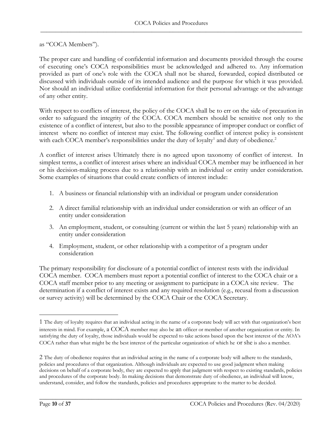as "COCA Members").

The proper care and handling of confidential information and documents provided through the course of executing one's COCA responsibilities must be acknowledged and adhered to. Any information provided as part of one's role with the COCA shall not be shared, forwarded, copied distributed or discussed with individuals outside of its intended audience and the purpose for which it was provided. Nor should an individual utilize confidential information for their personal advantage or the advantage of any other entity.

With respect to conflicts of interest, the policy of the COCA shall be to err on the side of precaution in order to safeguard the integrity of the COCA. COCA members should be sensitive not only to the existence of a conflict of interest, but also to the possible appearance of improper conduct or conflict of interest where no conflict of interest may exist. The following conflict of interest policy is consistent with each COCA member's responsibilities under the duty of loyalty<sup>1</sup> and duty of obedience.<sup>2</sup>

A conflict of interest arises Ultimately there is no agreed upon taxonomy of conflict of interest. In simplest terms, a conflict of interest arises where an individual COCA member may be influenced in her or his decision-making process due to a relationship with an individual or entity under consideration. Some examples of situations that could create conflicts of interest include:

- 1. A business or financial relationship with an individual or program under consideration
- 2. A direct familial relationship with an individual under consideration or with an officer of an entity under consideration
- 3. An employment, student, or consulting (current or within the last 5 years) relationship with an entity under consideration
- 4. Employment, student, or other relationship with a competitor of a program under consideration

The primary responsibility for disclosure of a potential conflict of interest rests with the individual COCA member. COCA members must report a potential conflict of interest to the COCA chair or a COCA staff member prior to any meeting or assignment to participate in a COCA site review. The determination if a conflict of interest exists and any required resolution (e.g., recusal from a discussion or survey activity) will be determined by the COCA Chair or the COCA Secretary.

<sup>1</sup> The duty of loyalty requires that an individual acting in the name of a corporate body will act with that organization's best interests in mind. For example, a COCA member may also be an officer or member of another organization or entity. In satisfying the duty of loyalty, those individuals would be expected to take actions based upon the best interest of the AOA's COCA rather than what might be the best interest of the particular organization of which he or she is also a member.

<sup>2</sup> The duty of obedience requires that an individual acting in the name of a corporate body will adhere to the standards, policies and procedures of that organization. Although individuals are expected to use good judgment when making decisions on behalf of a corporate body, they are expected to apply that judgment with respect to existing standards, policies and procedures of the corporate body. In making decisions that demonstrate duty of obedience, an individual will know, understand, consider, and follow the standards, policies and procedures appropriate to the matter to be decided.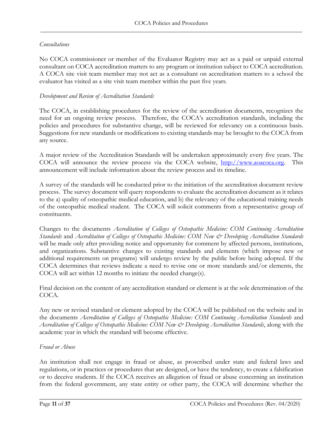## <span id="page-10-0"></span>*Consultations*

No COCA commissioner or member of the Evaluator Registry may act as a paid or unpaid external consultant on COCA accreditation matters to any program or institution subject to COCA accreditation. A COCA site visit team member may not act as a consultant on accreditation matters to a school the evaluator has visited as a site visit team member within the past five years.

### <span id="page-10-1"></span>*Development and Review of Accreditation Standards*

The COCA, in establishing procedures for the review of the accreditation documents, recognizes the need for an ongoing review process. Therefore, the COCA's accreditation standards, including the policies and procedures for substantive change, will be reviewed for relevancy on a continuous basis. Suggestions for new standards or modifications to existing standards may be brought to the COCA from any source.

A major review of the Accreditation Standards will be undertaken approximately every five years. The COCA will announce the review process via the COCA website, [http://www.aoacoca.org.](http://www.aoacoca.org/) This announcement will include information about the review process and its timeline.

A survey of the standards will be conducted prior to the initiation of the accreditation document review process. The survey document will query respondents to evaluate the accreditation document as it relates to the a) quality of osteopathic medical education, and b) the relevancy of the educational training needs of the osteopathic medical student. The COCA will solicit comments from a representative group of constituents.

Changes to the documents *Accreditation of Colleges of Osteopathic Medicine: COM Continuing Accreditation Standards* and *Accreditation of Colleges of Osteopathic Medicine: COM New & Developing Accreditation Standards* will be made only after providing notice and opportunity for comment by affected persons, institutions, and organizations. Substantive changes to existing standards and elements (which impose new or additional requirements on programs) will undergo review by the public before being adopted. If the COCA determines that reviews indicate a need to revise one or more standards and/or elements, the COCA will act within 12 months to initiate the needed change(s).

Final decision on the content of any accreditation standard or element is at the sole determination of the COCA.

Any new or revised standard or element adopted by the COCA will be published on the website and in the documents *Accreditation of Colleges of Osteopathic Medicine: COM Continuing Accreditation Standards* and *Accreditation of Colleges of Osteopathic Medicine: COM New & Developing Accreditation Standards*, along with the academic year in which the standard will become effective.

#### <span id="page-10-2"></span>*Fraud or Abuse*

An institution shall not engage in fraud or abuse, as proscribed under state and federal laws and regulations, or in practices or procedures that are designed, or have the tendency, to create a falsification or to deceive students. If the COCA receives an allegation of fraud or abuse concerning an institution from the federal government, any state entity or other party, the COCA will determine whether the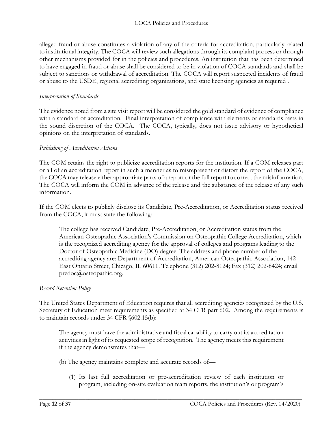alleged fraud or abuse constitutes a violation of any of the criteria for accreditation, particularly related to institutional integrity. The COCA will review such allegations through its complaint process or through other mechanisms provided for in the policies and procedures. An institution that has been determined to have engaged in fraud or abuse shall be considered to be in violation of COCA standards and shall be subject to sanctions or withdrawal of accreditation. The COCA will report suspected incidents of fraud or abuse to the USDE, regional accrediting organizations, and state licensing agencies as required .

### <span id="page-11-0"></span>*Interpretation of Standards*

The evidence noted from a site visit report will be considered the gold standard of evidence of compliance with a standard of accreditation. Final interpretation of compliance with elements or standards rests in the sound discretion of the COCA. The COCA, typically, does not issue advisory or hypothetical opinions on the interpretation of standards.

### <span id="page-11-1"></span>*Publishing of Accreditation Actions*

The COM retains the right to publicize accreditation reports for the institution. If a COM releases part or all of an accreditation report in such a manner as to misrepresent or distort the report of the COCA, the COCA may release either appropriate parts of a report or the full report to correct the misinformation. The COCA will inform the COM in advance of the release and the substance of the release of any such information.

If the COM elects to publicly disclose its Candidate, Pre-Accreditation, or Accreditation status received from the COCA, it must state the following:

The college has received Candidate, Pre-Accreditation, or Accreditation status from the American Osteopathic Association's Commission on Osteopathic College Accreditation, which is the recognized accrediting agency for the approval of colleges and programs leading to the Doctor of Osteopathic Medicine (DO) degree. The address and phone number of the accrediting agency are: Department of Accreditation, American Osteopathic Association, 142 East Ontario Street, Chicago, IL 60611. Telephone (312) 202-8124; Fax (312) 202-8424; email predoc@osteopathic.org.

#### <span id="page-11-2"></span>*Record Retention Policy*

The United States Department of Education requires that all accrediting agencies recognized by the U.S. Secretary of Education meet requirements as specified at 34 CFR part 602. Among the requirements is to maintain records under 34 CFR §602.15(b):

The agency must have the administrative and fiscal capability to carry out its accreditation activities in light of its requested scope of recognition. The agency meets this requirement if the agency demonstrates that—

- (b) The agency maintains complete and accurate records of—
	- (1) Its last full accreditation or pre-accreditation review of each institution or program, including on-site evaluation team reports, the institution's or program's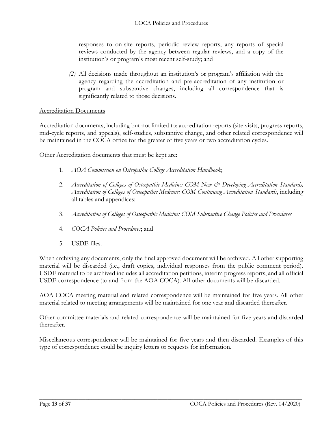responses to on-site reports, periodic review reports, any reports of special reviews conducted by the agency between regular reviews, and a copy of the institution's or program's most recent self-study; and

*(2)* All decisions made throughout an institution's or program's affiliation with the agency regarding the accreditation and pre-accreditation of any institution or program and substantive changes, including all correspondence that is significantly related to those decisions*.*

### Accreditation Documents

Accreditation documents, including but not limited to: accreditation reports (site visits, progress reports, mid-cycle reports, and appeals), self-studies, substantive change, and other related correspondence will be maintained in the COCA office for the greater of five years or two accreditation cycles.

Other Accreditation documents that must be kept are:

- 1. *AOA Commission on Osteopathic College Accreditation Handbook*;
- 2. *Accreditation of Colleges of Osteopathic Medicine: COM New & Developing Accreditation Standards, Accreditation of Colleges of Osteopathic Medicine: COM Continuing Accreditation Standards*, including all tables and appendices;
- 3. *Accreditation of Colleges of Osteopathic Medicine: COM Substantive Change Policies and Procedures*
- 4. *COCA Policies and Procedures*; and
- 5. USDE files.

When archiving any documents, only the final approved document will be archived. All other supporting material will be discarded (i.e., draft copies, individual responses from the public comment period). USDE material to be archived includes all accreditation petitions, interim progress reports, and all official USDE correspondence (to and from the AOA COCA). All other documents will be discarded.

AOA COCA meeting material and related correspondence will be maintained for five years. All other material related to meeting arrangements will be maintained for one year and discarded thereafter.

Other committee materials and related correspondence will be maintained for five years and discarded thereafter.

Miscellaneous correspondence will be maintained for five years and then discarded. Examples of this type of correspondence could be inquiry letters or requests for information.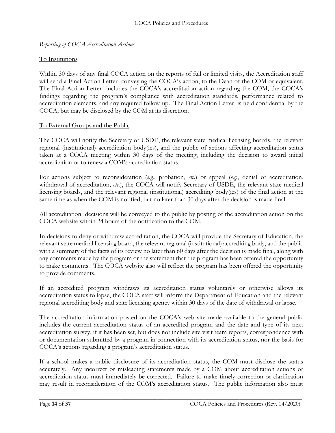<span id="page-13-0"></span>*Reporting of COCA Accreditation Actions* 

## To Institutions

Within 30 days of any final COCA action on the reports of full or limited visits, the Accreditation staff will send a Final Action Letter conveying the COCA's action, to the Dean of the COM or equivalent. The Final Action Letter includes the COCA's accreditation action regarding the COM, the COCA's findings regarding the program's compliance with accreditation standards, performance related to accreditation elements, and any required follow-up. The Final Action Letter is held confidential by the COCA, but may be disclosed by the COM at its discretion.

## To External Groups and the Public

The COCA will notify the Secretary of USDE, the relevant state medical licensing boards, the relevant regional (institutional) accreditation body(ies), and the public of actions affecting accreditation status taken at a COCA meeting within 30 days of the meeting, including the decision to award initial accreditation or to renew a COM's accreditation status.

For actions subject to reconsideration (*e.g.*, probation, *etc*.) or appeal (*e.g.*, denial of accreditation, withdrawal of accreditation, *etc*.), the COCA will notify Secretary of USDE, the relevant state medical licensing boards, and the relevant regional (institutional) accrediting body(ies) of the final action at the same time as when the COM is notified, but no later than 30 days after the decision is made final.

All accreditation decisions will be conveyed to the public by posting of the accreditation action on the COCA website within 24 hours of the notification to the COM.

In decisions to deny or withdraw accreditation, the COCA will provide the Secretary of Education, the relevant state medical licensing board, the relevant regional (institutional) accrediting body, and the public with a summary of the facts of its review no later than 60 days after the decision is made final, along with any comments made by the program or the statement that the program has been offered the opportunity to make comments. The COCA website also will reflect the program has been offered the opportunity to provide comments.

If an accredited program withdraws its accreditation status voluntarily or otherwise allows its accreditation status to lapse, the COCA staff will inform the Department of Education and the relevant regional accrediting body and state licensing agency within 30 days of the date of withdrawal or lapse.

The accreditation information posted on the COCA's web site made available to the general public includes the current accreditation status of an accredited program and the date and type of its next accreditation survey, if it has been set, but does not include site visit team reports, correspondence with or documentation submitted by a program in connection with its accreditation status, nor the basis for COCA's actions regarding a program's accreditation status.

If a school makes a public disclosure of its accreditation status, the COM must disclose the status accurately. Any incorrect or misleading statements made by a COM about accreditation actions or accreditation status must immediately be corrected. Failure to make timely correction or clarification may result in reconsideration of the COM's accreditation status. The public information also must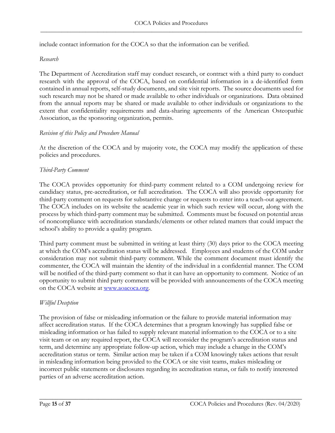include contact information for the COCA so that the information can be verified.

## <span id="page-14-0"></span>*Research*

The Department of Accreditation staff may conduct research, or contract with a third party to conduct research with the approval of the COCA, based on confidential information in a de-identified form contained in annual reports, self-study documents, and site visit reports. The source documents used for such research may not be shared or made available to other individuals or organizations. Data obtained from the annual reports may be shared or made available to other individuals or organizations to the extent that confidentiality requirements and data-sharing agreements of the American Osteopathic Association, as the sponsoring organization, permits.

### <span id="page-14-1"></span>*Revision of this Policy and Procedure Manual*

At the discretion of the COCA and by majority vote, the COCA may modify the application of these policies and procedures*.*

## <span id="page-14-2"></span>*Third-Party Comment*

The COCA provides opportunity for third-party comment related to a COM undergoing review for candidacy status, pre-accreditation, or full accreditation. The COCA will also provide opportunity for third-party comment on requests for substantive change or requests to enter into a teach-out agreement. The COCA includes on its website the academic year in which such review will occur, along with the process by which third-party comment may be submitted. Comments must be focused on potential areas of noncompliance with accreditation standards/elements or other related matters that could impact the school's ability to provide a quality program.

Third party comment must be submitted in writing at least thirty (30) days prior to the COCA meeting at which the COM's accreditation status will be addressed. Employees and students of the COM under consideration may not submit third-party comment. While the comment document must identify the commenter, the COCA will maintain the identity of the individual in a confidential manner. The COM will be notified of the third-party comment so that it can have an opportunity to comment. Notice of an opportunity to submit third party comment will be provided with announcements of the COCA meeting on the COCA website at [www.aoacoca.org.](http://www.aoacoca.org/)

## <span id="page-14-3"></span>*Willful Deception*

The provision of false or misleading information or the failure to provide material information may affect accreditation status. If the COCA determines that a program knowingly has supplied false or misleading information or has failed to supply relevant material information to the COCA or to a site visit team or on any required report, the COCA will reconsider the program's accreditation status and term, and determine any appropriate follow-up action, which may include a change in the COM's accreditation status or term. Similar action may be taken if a COM knowingly takes actions that result in misleading information being provided to the COCA or site visit teams, makes misleading or incorrect public statements or disclosures regarding its accreditation status, or fails to notify interested parties of an adverse accreditation action.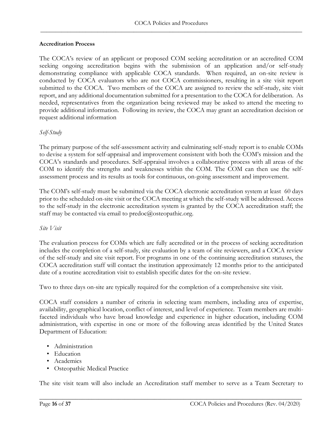#### <span id="page-15-0"></span>**Accreditation Process**

The COCA's review of an applicant or proposed COM seeking accreditation or an accredited COM seeking ongoing accreditation begins with the submission of an application and/or self-study demonstrating compliance with applicable COCA standards. When required, an on-site review is conducted by COCA evaluators who are not COCA commissioners, resulting in a site visit report submitted to the COCA. Two members of the COCA are assigned to review the self-study, site visit report, and any additional documentation submitted for a presentation to the COCA for deliberation. As needed, representatives from the organization being reviewed may be asked to attend the meeting to provide additional information. Following its review, the COCA may grant an accreditation decision or request additional information

### <span id="page-15-1"></span>*Self-Study*

The primary purpose of the self-assessment activity and culminating self-study report is to enable COMs to devise a system for self-appraisal and improvement consistent with both the COM's mission and the COCA's standards and procedures. Self-appraisal involves a collaborative process with all areas of the COM to identify the strengths and weaknesses within the COM. The COM can then use the selfassessment process and its results as tools for continuous, on-going assessment and improvement.

The COM's self-study must be submitted via the COCA electronic accreditation system at least 60 days prior to the scheduled on-site visit or the COCA meeting at which the self-study will be addressed. Access to the self-study in the electronic accreditation system is granted by the COCA accreditation staff; the staff may be contacted via email to predoc@osteopathic.org.

#### <span id="page-15-2"></span>*Site Visit*

The evaluation process for COMs which are fully accredited or in the process of seeking accreditation includes the completion of a self-study, site evaluation by a team of site reviewers, and a COCA review of the self-study and site visit report. For programs in one of the continuing accreditation statuses, the COCA accreditation staff will contact the institution approximately 12 months prior to the anticipated date of a routine accreditation visit to establish specific dates for the on-site review.

Two to three days on-site are typically required for the completion of a comprehensive site visit.

COCA staff considers a number of criteria in selecting team members, including area of expertise, availability, geographical location, conflict of interest, and level of experience. Team members are multifaceted individuals who have broad knowledge and experience in higher education, including COM administration, with expertise in one or more of the following areas identified by the United States Department of Education:

- Administration
- Education
- Academics
- Osteopathic Medical Practice

The site visit team will also include an Accreditation staff member to serve as a Team Secretary to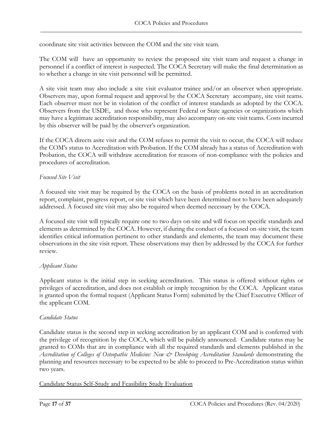coordinate site visit activities between the COM and the site visit team.

The COM will have an opportunity to review the proposed site visit team and request a change in personnel if a conflict of interest is suspected. The COCA Secretary will make the final determination as to whether a change in site visit personnel will be permitted.

A site visit team may also include a site visit evaluator trainee and/or an observer when appropriate. Observers may, upon formal request and approval by the COCA Secretary accompany, site visit teams. Each observer must not be in violation of the conflict of interest standards as adopted by the COCA. Observers from the USDE, and those who represent Federal or State agencies or organizations which may have a legitimate accreditation responsibility, may also accompany on-site visit teams. Costs incurred by this observer will be paid by the observer's organization.

If the COCA directs asite visit and the COM refuses to permit the visit to occur, the COCA will reduce the COM's status to Accreditation with Probation. If the COM already has a status of Accreditation with Probation, the COCA will withdraw accreditation for reasons of non-compliance with the policies and procedures of accreditation.

## <span id="page-16-0"></span>*Focused Site Visit*

A focused site visit may be required by the COCA on the basis of problems noted in an accreditation report, complaint, progress report, or site visit which have been determined not to have been adequately addressed. A focused site visit may also be required when deemed necessary by the COCA.

A focused site visit will typically require one to two days on-site and will focus on specific standards and elements as determined by the COCA. However, if during the conduct of a focused on-site visit, the team identifies critical information pertinent to other standards and elements, the team may document these observations in the site visit report. These observations may then by addressed by the COCA for further review.

## <span id="page-16-1"></span>*Applicant Status*

Applicant status is the initial step in seeking accreditation. This status is offered without rights or privileges of accreditation, and does not establish or imply recognition by the COCA. Applicant status is granted upon the formal request (Applicant Status Form) submitted by the Chief Executive Officer of the applicant COM.

## <span id="page-16-2"></span>*Candidate Status*

Candidate status is the second step in seeking accreditation by an applicant COM and is conferred with the privilege of recognition by the COCA, which will be publicly announced. Candidate status may be granted to COMs that are in compliance with all the required standards and elements published in the *Accreditation of Colleges of Osteopathic Medicine: New & Developing Accreditation Standards* demonstrating the planning and resources necessary to be expected to be able to proceed to Pre-Accreditation status within two years.

## <span id="page-16-3"></span>Candidate Status Self-Study and Feasibility Study Evaluation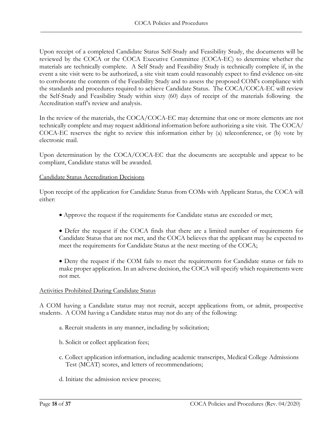Upon receipt of a completed Candidate Status Self-Study and Feasibility Study, the documents will be reviewed by the COCA or the COCA Executive Committee (COCA-EC) to determine whether the materials are technically complete. A Self Study and Feasibility Study is technically complete if, in the event a site visit were to be authorized, a site visit team could reasonably expect to find evidence on-site to corroborate the contents of the Feasibility Study and to assess the proposed COM's compliance with the standards and procedures required to achieve Candidate Status. The COCA/COCA-EC will review the Self-Study and Feasibility Study within sixty (60) days of receipt of the materials following the Accreditation staff's review and analysis.

In the review of the materials, the COCA/COCA-EC may determine that one or more elements are not technically complete and may request additional information before authorizing a site visit. The COCA/ COCA-EC reserves the right to review this information either by (a) teleconference, or (b) vote by electronic mail.

Upon determination by the COCA/COCA-EC that the documents are acceptable and appear to be compliant, Candidate status will be awarded.

### <span id="page-17-0"></span>Candidate Status Accreditation Decisions

Upon receipt of the application for Candidate Status from COMs with Applicant Status, the COCA will either:

- Approve the request if the requirements for Candidate status are exceeded or met;
- Defer the request if the COCA finds that there are a limited number of requirements for Candidate Status that are not met, and the COCA believes that the applicant may be expected to meet the requirements for Candidate Status at the next meeting of the COCA;

• Deny the request if the COM fails to meet the requirements for Candidate status or fails to make proper application. In an adverse decision, the COCA will specify which requirements were not met.

#### <span id="page-17-1"></span>Activities Prohibited During Candidate Status

A COM having a Candidate status may not recruit, accept applications from, or admit, prospective students. A COM having a Candidate status may not do any of the following:

- a. Recruit students in any manner, including by solicitation;
- b. Solicit or collect application fees;
- c. Collect application information, including academic transcripts, Medical College Admissions Test (MCAT) scores, and letters of recommendations;

\_\_\_\_\_\_\_\_\_\_\_\_\_\_\_\_\_\_\_\_\_\_\_\_\_\_\_\_\_\_\_\_\_\_\_\_\_\_\_\_\_\_\_\_\_\_\_\_\_\_\_\_\_\_\_\_\_\_\_\_\_\_\_\_\_\_\_\_\_\_\_\_\_\_\_\_\_\_\_\_

d. Initiate the admission review process;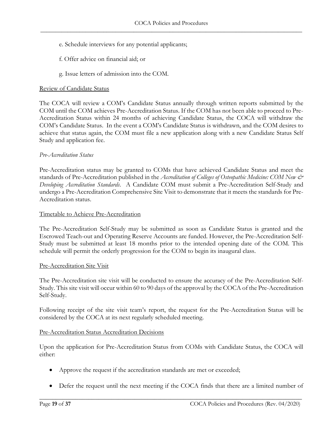- e. Schedule interviews for any potential applicants;
- f. Offer advice on financial aid; or
- g. Issue letters of admission into the COM.

#### <span id="page-18-0"></span>Review of Candidate Status

The COCA will review a COM's Candidate Status annually through written reports submitted by the COM until the COM achieves Pre-Accreditation Status. If the COM has not been able to proceed to Pre-Accreditation Status within 24 months of achieving Candidate Status, the COCA will withdraw the COM's Candidate Status. In the event a COM's Candidate Status is withdrawn, and the COM desires to achieve that status again, the COM must file a new application along with a new Candidate Status Self Study and application fee.

#### <span id="page-18-1"></span>*Pre-Accreditation Status*

Pre-Accreditation status may be granted to COMs that have achieved Candidate Status and meet the standards of Pre-Accreditation published in the *Accreditation of Colleges of Osteopathic Medicine: COM New & Developing Accreditation Standards*. A Candidate COM must submit a Pre-Accreditation Self-Study and undergo a Pre-Accreditation Comprehensive Site Visit to demonstrate that it meets the standards for Pre-Accreditation status.

#### <span id="page-18-2"></span>Timetable to Achieve Pre-Accreditation

The Pre-Accreditation Self-Study may be submitted as soon as Candidate Status is granted and the Escrowed Teach-out and Operating Reserve Accounts are funded. However, the Pre-Accreditation Self-Study must be submitted at least 18 months prior to the intended opening date of the COM. This schedule will permit the orderly progression for the COM to begin its inaugural class.

#### <span id="page-18-3"></span>Pre-Accreditation Site Visit

The Pre-Accreditation site visit will be conducted to ensure the accuracy of the Pre-Accreditation Self-Study. This site visit will occur within 60 to 90 days of the approval by the COCA of the Pre-Accreditation Self-Study.

Following receipt of the site visit team's report, the request for the Pre-Accreditation Status will be considered by the COCA at its next regularly scheduled meeting.

#### <span id="page-18-4"></span>Pre-Accreditation Status Accreditation Decisions

Upon the application for Pre-Accreditation Status from COMs with Candidate Status, the COCA will either:

- Approve the request if the accreditation standards are met or exceeded;
- Defer the request until the next meeting if the COCA finds that there are a limited number of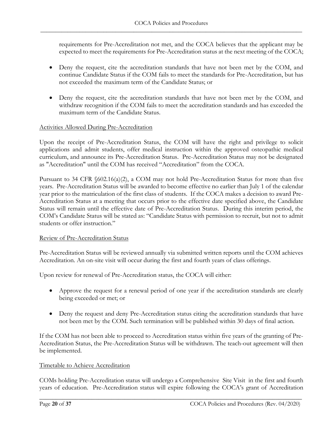requirements for Pre-Accreditation not met, and the COCA believes that the applicant may be expected to meet the requirements for Pre-Accreditation status at the next meeting of the COCA;

- Deny the request, cite the accreditation standards that have not been met by the COM, and continue Candidate Status if the COM fails to meet the standards for Pre-Accreditation, but has not exceeded the maximum term of the Candidate Status; or
- Deny the request, cite the accreditation standards that have not been met by the COM, and withdraw recognition if the COM fails to meet the accreditation standards and has exceeded the maximum term of the Candidate Status.

## <span id="page-19-0"></span>Activities Allowed During Pre-Accreditation

Upon the receipt of Pre-Accreditation Status, the COM will have the right and privilege to solicit applications and admit students, offer medical instruction within the approved osteopathic medical curriculum, and announce its Pre-Accreditation Status. Pre-Accreditation Status may not be designated as "Accreditation" until the COM has received "Accreditation" from the COCA.

Pursuant to 34 CFR §602.16(a)(2), a COM may not hold Pre-Accreditation Status for more than five years. Pre-Accreditation Status will be awarded to become effective no earlier than July 1 of the calendar year prior to the matriculation of the first class of students. If the COCA makes a decision to award Pre-Accreditation Status at a meeting that occurs prior to the effective date specified above, the Candidate Status will remain until the effective date of Pre-Accreditation Status. During this interim period, the COM's Candidate Status will be stated as: "Candidate Status with permission to recruit, but not to admit students or offer instruction."

#### <span id="page-19-1"></span>Review of Pre-Accreditation Status

Pre-Accreditation Status will be reviewed annually via submitted written reports until the COM achieves Accreditation. An on-site visit will occur during the first and fourth years of class offerings.

Upon review for renewal of Pre-Accreditation status, the COCA will either:

- Approve the request for a renewal period of one year if the accreditation standards are clearly being exceeded or met; or
- Deny the request and deny Pre-Accreditation status citing the accreditation standards that have not been met by the COM. Such termination will be published within 30 days of final action.

If the COM has not been able to proceed to Accreditation status within five years of the granting of Pre-Accreditation Status, the Pre-Accreditation Status will be withdrawn. The teach-out agreement will then be implemented.

#### <span id="page-19-2"></span>Timetable to Achieve Accreditation

COMs holding Pre-Accreditation status will undergo a Comprehensive Site Visit in the first and fourth years of education. Pre-Accreditation status will expire following the COCA's grant of Accreditation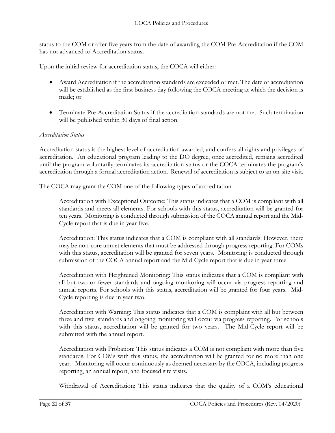status to the COM or after five years from the date of awarding the COM Pre-Accreditation if the COM has not advanced to Accreditation status.

Upon the initial review for accreditation status, the COCA will either:

- Award Accreditation if the accreditation standards are exceeded or met. The date of accreditation will be established as the first business day following the COCA meeting at which the decision is made; or
- Terminate Pre-Accreditation Status if the accreditation standards are not met. Such termination will be published within 30 days of final action.

#### <span id="page-20-0"></span>*Accreditation Status*

Accreditation status is the highest level of accreditation awarded, and confers all rights and privileges of accreditation. An educational program leading to the DO degree, once accredited, remains accredited until the program voluntarily terminates its accreditation status or the COCA terminates the program's accreditation through a formal accreditation action. Renewal of accreditation is subject to an on-site visit.

The COCA may grant the COM one of the following types of accreditation.

Accreditation with Exceptional Outcome: This status indicates that a COM is compliant with all standards and meets all elements. For schools with this status, accreditation will be granted for ten years. Monitoring is conducted through submission of the COCA annual report and the Mid-Cycle report that is due in year five.

Accreditation: This status indicates that a COM is compliant with all standards. However, there may be non-core unmet elements that must be addressed through progress reporting. For COMs with this status, accreditation will be granted for seven years. Monitoring is conducted through submission of the COCA annual report and the Mid-Cycle report that is due in year three.

Accreditation with Heightened Monitoring: This status indicates that a COM is compliant with all but two or fewer standards and ongoing monitoring will occur via progress reporting and annual reports. For schools with this status, accreditation will be granted for four years. Mid-Cycle reporting is due in year two.

Accreditation with Warning: This status indicates that a COM is complaint with all but between three and five standards and ongoing monitoring will occur via progress reporting. For schools with this status, accreditation will be granted for two years. The Mid-Cycle report will be submitted with the annual report.

Accreditation with Probation: This status indicates a COM is not compliant with more than five standards. For COMs with this status, the accreditation will be granted for no more than one year. Monitoring will occur continuously as deemed necessary by the COCA, including progress reporting, an annual report, and focused site visits.

Withdrawal of Accreditation: This status indicates that the quality of a COM's educational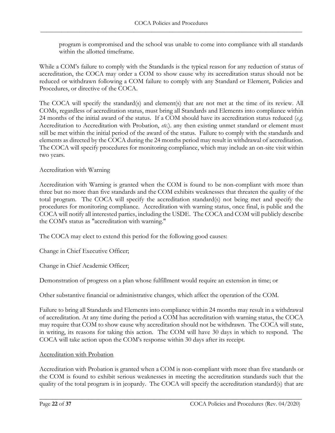program is compromised and the school was unable to come into compliance with all standards within the allotted timeframe.

While a COM's failure to comply with the Standards is the typical reason for any reduction of status of accreditation, the COCA may order a COM to show cause why its accreditation status should not be reduced or withdrawn following a COM failure to comply with any Standard or Element, Policies and Procedures, or directive of the COCA.

The COCA will specify the standard(s) and element(s) that are not met at the time of its review. All COMs, regardless of accreditation status, must bring all Standards and Elements into compliance within 24 months of the initial award of the status. If a COM should have its accreditation status reduced (*e.g.* Accreditation to Accreditation with Probation, *etc.*). any then existing unmet standard or element must still be met within the initial period of the award of the status. Failure to comply with the standards and elements as directed by the COCA during the 24 months period may result in withdrawal of accreditation. The COCA will specify procedures for monitoring compliance, which may include an on-site visit within two years.

## Accreditation with Warning

Accreditation with Warning is granted when the COM is found to be non-compliant with more than three but no more than five standards and the COM exhibits weaknesses that threaten the quality of the total program. The COCA will specify the accreditation standard(s) not being met and specify the procedures for monitoring compliance. Accreditation with warning status, once final, is public and the COCA will notify all interested parties, including the USDE. The COCA and COM will publicly describe the COM's status as "accreditation with warning."

The COCA may elect to extend this period for the following good causes:

Change in Chief Executive Officer;

Change in Chief Academic Officer;

Demonstration of progress on a plan whose fulfillment would require an extension in time; or

Other substantive financial or administrative changes, which affect the operation of the COM.

Failure to bring all Standards and Elements into compliance within 24 months may result in a withdrawal of accreditation. At any time during the period a COM has accreditation with warning status, the COCA may require that COM to show cause why accreditation should not be withdrawn. The COCA will state, in writing, its reasons for taking this action. The COM will have 30 days in which to respond. The COCA will take action upon the COM's response within 30 days after its receipt.

## Accreditation with Probation

Accreditation with Probation is granted when a COM is non-compliant with more than five standards or the COM is found to exhibit serious weaknesses in meeting the accreditation standards such that the quality of the total program is in jeopardy. The COCA will specify the accreditation standard(s) that are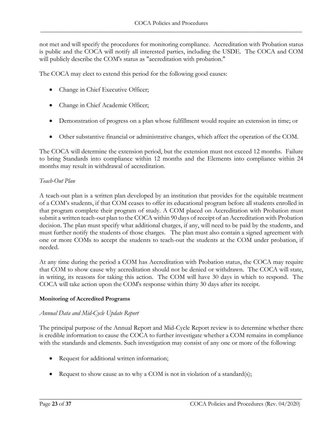not met and will specify the procedures for monitoring compliance. Accreditation with Probation status is public and the COCA will notify all interested parties, including the USDE. The COCA and COM will publicly describe the COM's status as "accreditation with probation."

The COCA may elect to extend this period for the following good causes:

- Change in Chief Executive Officer;
- Change in Chief Academic Officer;
- Demonstration of progress on a plan whose fulfillment would require an extension in time; or
- Other substantive financial or administrative changes, which affect the operation of the COM.

The COCA will determine the extension period, but the extension must not exceed 12 months. Failure to bring Standards into compliance within 12 months and the Elements into compliance within 24 months may result in withdrawal of accreditation.

## <span id="page-22-0"></span>*Teach-Out Plan*

A teach-out plan is a written plan developed by an institution that provides for the equitable treatment of a COM's students, if that COM ceases to offer its educational program before all students enrolled in that program complete their program of study. A COM placed on Accreditation with Probation must submit a written teach-out plan to the COCA within 90 days of receipt of an Accreditation with Probation decision. The plan must specify what additional charges, if any, will need to be paid by the students, and must further notify the students of those charges. The plan must also contain a signed agreement with one or more COMs to accept the students to teach-out the students at the COM under probation, if needed.

At any time during the period a COM has Accreditation with Probation status, the COCA may require that COM to show cause why accreditation should not be denied or withdrawn. The COCA will state, in writing, its reasons for taking this action. The COM will have 30 days in which to respond. The COCA will take action upon the COM's response within thirty 30 days after its receipt.

#### <span id="page-22-1"></span>**Monitoring of Accredited Programs**

## <span id="page-22-2"></span>*Annual Data and Mid-Cycle Update Report*

The principal purpose of the Annual Report and Mid-Cycle Report review is to determine whether there is credible information to cause the COCA to further investigate whether a COM remains in compliance with the standards and elements. Such investigation may consist of any one or more of the following:

- Request for additional written information;
- Request to show cause as to why a COM is not in violation of a standard(s);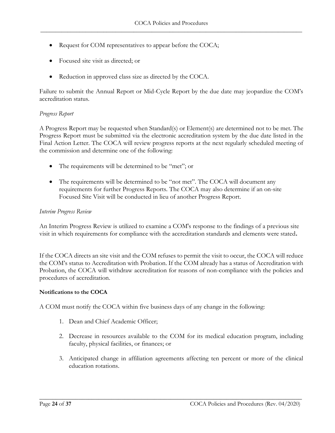- Request for COM representatives to appear before the COCA;
- Focused site visit as directed; or
- Reduction in approved class size as directed by the COCA.

Failure to submit the Annual Report or Mid-Cycle Report by the due date may jeopardize the COM's accreditation status.

#### <span id="page-23-0"></span>*Progress Report*

A Progress Report may be requested when Standard(s) or Element(s) are determined not to be met. The Progress Report must be submitted via the electronic accreditation system by the due date listed in the Final Action Letter. The COCA will review progress reports at the next regularly scheduled meeting of the commission and determine one of the following:

- The requirements will be determined to be "met"; or
- The requirements will be determined to be "not met". The COCA will document any requirements for further Progress Reports. The COCA may also determine if an on-site Focused Site Visit will be conducted in lieu of another Progress Report.

#### <span id="page-23-1"></span>*Interim Progress Review*

An Interim Progress Review is utilized to examine a COM's response to the findings of a previous site visit in which requirements for compliance with the accreditation standards and elements were stated**.** 

If the COCA directs an site visit and the COM refuses to permit the visit to occur, the COCA will reduce the COM's status to Accreditation with Probation. If the COM already has a status of Accreditation with Probation, the COCA will withdraw accreditation for reasons of non-compliance with the policies and procedures of accreditation.

#### <span id="page-23-2"></span>**Notifications to the COCA**

A COM must notify the COCA within five business days of any change in the following:

- 1. Dean and Chief Academic Officer;
- 2. Decrease in resources available to the COM for its medical education program, including faculty, physical facilities, or finances; or
- 3. Anticipated change in affiliation agreements affecting ten percent or more of the clinical education rotations.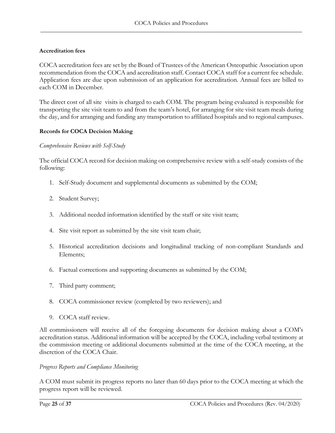#### <span id="page-24-0"></span>**Accreditation fees**

COCA accreditation fees are set by the Board of Trustees of the American Osteopathic Association upon recommendation from the COCA and accreditation staff. Contact COCA staff for a current fee schedule. Application fees are due upon submission of an application for accreditation. Annual fees are billed to each COM in December.

The direct cost of all site visits is charged to each COM. The program being evaluated is responsible for transporting the site visit team to and from the team's hotel, for arranging for site visit team meals during the day, and for arranging and funding any transportation to affiliated hospitals and to regional campuses.

#### <span id="page-24-1"></span>**Records for COCA Decision Making**

### <span id="page-24-2"></span>*Comprehensive Reviews with Self-Study*

The official COCA record for decision making on comprehensive review with a self-study consists of the following:

- 1. Self-Study document and supplemental documents as submitted by the COM;
- 2. Student Survey;
- 3. Additional needed information identified by the staff or site visit team;
- 4. Site visit report as submitted by the site visit team chair;
- 5. Historical accreditation decisions and longitudinal tracking of non-compliant Standards and Elements;
- 6. Factual corrections and supporting documents as submitted by the COM;
- 7. Third party comment;
- 8. COCA commissioner review (completed by two reviewers); and
- 9. COCA staff review.

All commissioners will receive all of the foregoing documents for decision making about a COM's accreditation status. Additional information will be accepted by the COCA, including verbal testimony at the commission meeting or additional documents submitted at the time of the COCA meeting, at the discretion of the COCA Chair.

## <span id="page-24-3"></span>*Progress Reports and Compliance Monitoring*

A COM must submit its progress reports no later than 60 days prior to the COCA meeting at which the progress report will be reviewed.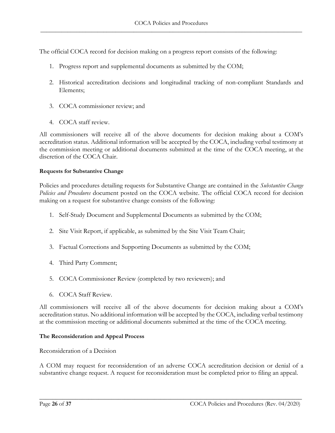The official COCA record for decision making on a progress report consists of the following:

- 1. Progress report and supplemental documents as submitted by the COM;
- 2. Historical accreditation decisions and longitudinal tracking of non-compliant Standards and Elements;
- 3. COCA commissioner review; and
- 4. COCA staff review.

All commissioners will receive all of the above documents for decision making about a COM's accreditation status. Additional information will be accepted by the COCA, including verbal testimony at the commission meeting or additional documents submitted at the time of the COCA meeting, at the discretion of the COCA Chair.

### <span id="page-25-0"></span>**Requests for Substantive Change**

Policies and procedures detailing requests for Substantive Change are contained in the *Substantive Change Policies and Procedures* document posted on the COCA website. The official COCA record for decision making on a request for substantive change consists of the following:

- 1. Self-Study Document and Supplemental Documents as submitted by the COM;
- 2. Site Visit Report, if applicable, as submitted by the Site Visit Team Chair;
- 3. Factual Corrections and Supporting Documents as submitted by the COM;
- 4. Third Party Comment;
- 5. COCA Commissioner Review (completed by two reviewers); and
- 6. COCA Staff Review.

All commissioners will receive all of the above documents for decision making about a COM's accreditation status. No additional information will be accepted by the COCA, including verbal testimony at the commission meeting or additional documents submitted at the time of the COCA meeting.

#### <span id="page-25-1"></span>**The Reconsideration and Appeal Process**

<span id="page-25-2"></span>Reconsideration of a Decision

A COM may request for reconsideration of an adverse COCA accreditation decision or denial of a substantive change request. A request for reconsideration must be completed prior to filing an appeal.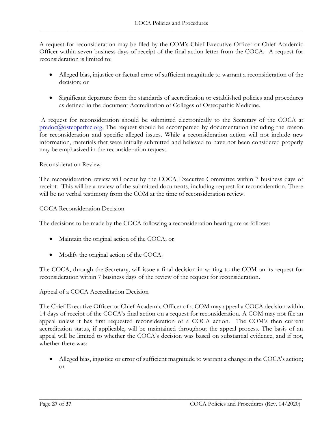A request for reconsideration may be filed by the COM's Chief Executive Officer or Chief Academic Officer within seven business days of receipt of the final action letter from the COCA. A request for reconsideration is limited to:

- Alleged bias, injustice or factual error of sufficient magnitude to warrant a reconsideration of the decision; or
- Significant departure from the standards of accreditation or established policies and procedures as defined in the document Accreditation of Colleges of Osteopathic Medicine.

A request for reconsideration should be submitted electronically to the Secretary of the COCA at  $predoc@osteopathic.org$ . The request should be accompanied by documentation including the reason for reconsideration and specific alleged issues. While a reconsideration action will not include new information, materials that were initially submitted and believed to have not been considered properly may be emphasized in the reconsideration request.

## Reconsideration Review

The reconsideration review will occur by the COCA Executive Committee within 7 business days of receipt. This will be a review of the submitted documents, including request for reconsideration. There will be no verbal testimony from the COM at the time of reconsideration review.

### COCA Reconsideration Decision

The decisions to be made by the COCA following a reconsideration hearing are as follows:

- Maintain the original action of the COCA; or
- Modify the original action of the COCA.

The COCA, through the Secretary, will issue a final decision in writing to the COM on its request for reconsideration within 7 business days of the review of the request for reconsideration.

## <span id="page-26-0"></span>Appeal of a COCA Accreditation Decision

The Chief Executive Officer or Chief Academic Officer of a COM may appeal a COCA decision within 14 days of receipt of the COCA's final action on a request for reconsideration. A COM may not file an appeal unless it has first requested reconsideration of a COCA action. The COM's then current accreditation status, if applicable, will be maintained throughout the appeal process. The basis of an appeal will be limited to whether the COCA's decision was based on substantial evidence, and if not, whether there was:

• Alleged bias, injustice or error of sufficient magnitude to warrant a change in the COCA's action; or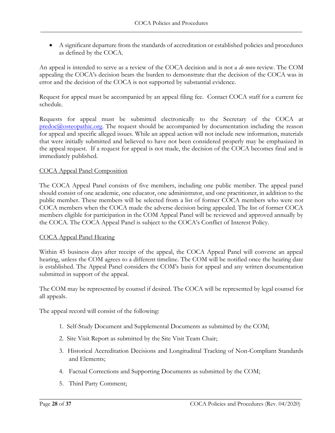• A significant departure from the standards of accreditation or established policies and procedures as defined by the COCA.

An appeal is intended to serve as a review of the COCA decision and is not a *de novo* review. The COM appealing the COCA's decision bears the burden to demonstrate that the decision of the COCA was in error and the decision of the COCA is not supported by substantial evidence.

Request for appeal must be accompanied by an appeal filing fee. Contact COCA staff for a current fee schedule.

Requests for appeal must be submitted electronically to the Secretary of the COCA at  $predoc@osteopathic.org$ . The request should be accompanied by documentation including the reason for appeal and specific alleged issues. While an appeal action will not include new information, materials that were initially submitted and believed to have not been considered properly may be emphasized in the appeal request. If a request for appeal is not made, the decision of the COCA becomes final and is immediately published.

## <span id="page-27-0"></span>COCA Appeal Panel Composition

The COCA Appeal Panel consists of five members, including one public member. The appeal panel should consist of one academic, one educator, one administrator, and one practitioner, in addition to the public member. These members will be selected from a list of former COCA members who were not COCA members when the COCA made the adverse decision being appealed. The list of former COCA members eligible for participation in the COM Appeal Panel will be reviewed and approved annually by the COCA. The COCA Appeal Panel is subject to the COCA's Conflict of Interest Policy.

## <span id="page-27-1"></span>COCA Appeal Panel Hearing

Within 45 business days after receipt of the appeal, the COCA Appeal Panel will convene an appeal hearing, unless the COM agrees to a different timeline. The COM will be notified once the hearing date is established. The Appeal Panel considers the COM's basis for appeal and any written documentation submitted in support of the appeal.

The COM may be represented by counsel if desired. The COCA will be represented by legal counsel for all appeals.

The appeal record will consist of the following:

- 1. Self-Study Document and Supplemental Documents as submitted by the COM;
- 2. Site Visit Report as submitted by the Site Visit Team Chair;
- 3. Historical Accreditation Decisions and Longitudinal Tracking of Non-Compliant Standards and Elements;
- 4. Factual Corrections and Supporting Documents as submitted by the COM;

\_\_\_\_\_\_\_\_\_\_\_\_\_\_\_\_\_\_\_\_\_\_\_\_\_\_\_\_\_\_\_\_\_\_\_\_\_\_\_\_\_\_\_\_\_\_\_\_\_\_\_\_\_\_\_\_\_\_\_\_\_\_\_\_\_\_\_\_\_\_\_\_\_\_\_\_\_\_\_\_

5. Third Party Comment;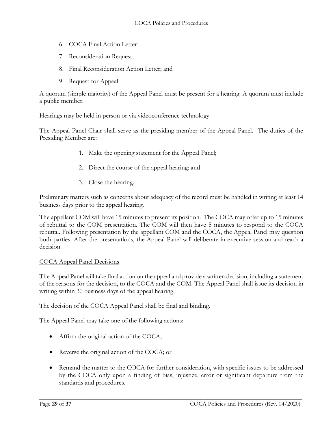- 6. COCA Final Action Letter;
- 7. Reconsideration Request;
- 8. Final Reconsideration Action Letter; and
- 9. Request for Appeal.

A quorum (simple majority) of the Appeal Panel must be present for a hearing. A quorum must include a public member.

Hearings may be held in person or via videoconference technology.

The Appeal Panel Chair shall serve as the presiding member of the Appeal Panel. The duties of the Presiding Member are:

- 1. Make the opening statement for the Appeal Panel;
- 2. Direct the course of the appeal hearing; and
- 3. Close the hearing.

Preliminary matters such as concerns about adequacy of the record must be handled in writing at least 14 business days prior to the appeal hearing.

The appellant COM will have 15 minutes to present its position. The COCA may offer up to 15 minutes of rebuttal to the COM presentation. The COM will then have 5 minutes to respond to the COCA rebuttal. Following presentation by the appellant COM and the COCA, the Appeal Panel may question both parties. After the presentations, the Appeal Panel will deliberate in executive session and reach a decision.

## <span id="page-28-0"></span>COCA Appeal Panel Decisions

The Appeal Panel will take final action on the appeal and provide a written decision, including a statement of the reasons for the decision, to the COCA and the COM. The Appeal Panel shall issue its decision in writing within 30 business days of the appeal hearing.

The decision of the COCA Appeal Panel shall be final and binding.

The Appeal Panel may take one of the following actions:

- Affirm the original action of the COCA;
- Reverse the original action of the COCA; or
- Remand the matter to the COCA for further consideration, with specific issues to be addressed by the COCA only upon a finding of bias, injustice, error or significant departure from the standards and procedures.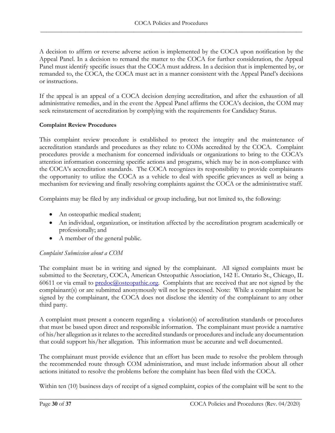A decision to affirm or reverse adverse action is implemented by the COCA upon notification by the Appeal Panel. In a decision to remand the matter to the COCA for further consideration, the Appeal Panel must identify specific issues that the COCA must address. In a decision that is implemented by, or remanded to, the COCA, the COCA must act in a manner consistent with the Appeal Panel's decisions or instructions.

If the appeal is an appeal of a COCA decision denying accreditation, and after the exhaustion of all administrative remedies, and in the event the Appeal Panel affirms the COCA's decision, the COM may seek reinstatement of accreditation by complying with the requirements for Candidacy Status.

## <span id="page-29-0"></span>**Complaint Review Procedures**

This complaint review procedure is established to protect the integrity and the maintenance of accreditation standards and procedures as they relate to COMs accredited by the COCA.Complaint procedures provide a mechanism for concerned individuals or organizations to bring to the COCA's attention information concerning specific actions and programs, which may be in non-compliance with the COCA's accreditation standards.The COCA recognizes its responsibility to provide complainants the opportunity to utilize the COCA as a vehicle to deal with specific grievances as well as being a mechanism for reviewing and finally resolving complaints against the COCA or the administrative staff.

Complaints may be filed by any individual or group including, but not limited to, the following:

- An osteopathic medical student;
- An individual, organization, or institution affected by the accreditation program academically or professionally; and
- A member of the general public.

## <span id="page-29-1"></span>*Complaint Submission about a COM*

The complaint must be in writing and signed by the complainant. All signed complaints must be submitted to the Secretary, COCA, American Osteopathic Association, 142 E. Ontario St., Chicago, IL 60611 or via email to  $\text{predoc}(\overline{\omega} \text{osteopathic.org})$ . Complaints that are received that are not signed by the complainant(s) or are submitted anonymously will not be processed. Note: While a complaint must be signed by the complainant, the COCA does not disclose the identity of the complainant to any other third party.

A complaint must present a concern regarding a violation(s) of accreditation standards or procedures that must be based upon direct and responsible information. The complainant must provide a narrative of his/her allegation as it relates to the accredited standards or procedures and include any documentation that could support his/her allegation. This information must be accurate and well documented.

The complainant must provide evidence that an effort has been made to resolve the problem through the recommended route through COM administration, and must include information about all other actions initiated to resolve the problems before the complaint has been filed with the COCA.

Within ten (10) business days of receipt of a signed complaint, copies of the complaint will be sent to the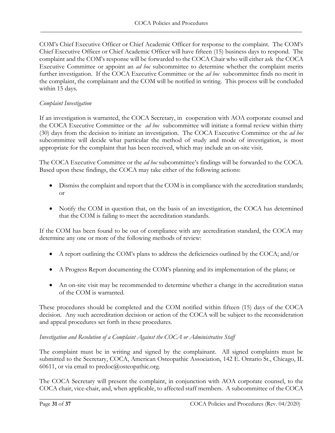COM's Chief Executive Officer or Chief Academic Officer for response to the complaint. The COM's Chief Executive Officer or Chief Academic Officer will have fifteen (15) business days to respond. The complaint and the COM's response will be forwarded to the COCA Chair who will either ask the COCA Executive Committee or appoint an *ad hoc* subcommittee to determine whether the complaint merits further investigation. If the COCA Executive Committee or the *ad hoc* subcommittee finds no merit in the complaint, the complainant and the COM will be notified in writing. This process will be concluded within 15 days.

## <span id="page-30-0"></span>*Complaint Investigation*

If an investigation is warranted, the COCA Secretary, in cooperation with AOA corporate counsel and the COCA Executive Committee or the *ad hoc* subcommittee will initiate a formal review within thirty (30) days from the decision to initiate an investigation. The COCA Executive Committee or the *ad hoc*  subcommittee will decide what particular the method of study and mode of investigation, is most appropriate for the complaint that has been received, which may include an on-site visit.

The COCA Executive Committee or the *ad hoc* subcommittee's findings will be forwarded to the COCA. Based upon these findings, the COCA may take either of the following actions:

- Dismiss the complaint and report that the COM is in compliance with the accreditation standards; or
- Notify the COM in question that, on the basis of an investigation, the COCA has determined that the COM is failing to meet the accreditation standards.

If the COM has been found to be out of compliance with any accreditation standard, the COCA may determine any one or more of the following methods of review:

- A report outlining the COM's plans to address the deficiencies outlined by the COCA; and/or
- A Progress Report documenting the COM's planning and its implementation of the plans; or
- An on-site visit may be recommended to determine whether a change in the accreditation status of the COM is warranted.

These procedures should be completed and the COM notified within fifteen (15) days of the COCA decision. Any such accreditation decision or action of the COCA will be subject to the reconsideration and appeal procedures set forth in these procedures.

## <span id="page-30-1"></span>*Investigation and Resolution of a Complaint Against the COCA or Administrative Staff*

The complaint must be in writing and signed by the complainant. All signed complaints must be submitted to the Secretary, COCA, American Osteopathic Association, 142 E. Ontario St., Chicago, IL 60611, or via email to predoc@osteopathic.org.

The COCA Secretary will present the complaint, in conjunction with AOA corporate counsel, to the COCA chair, vice-chair, and, when applicable, to affected staff members. A subcommittee of the COCA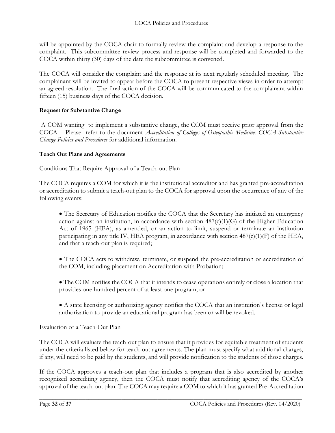will be appointed by the COCA chair to formally review the complaint and develop a response to the complaint. This subcommittee review process and response will be completed and forwarded to the COCA within thirty (30) days of the date the subcommittee is convened.

The COCA will consider the complaint and the response at its next regularly scheduled meeting. The complainant will be invited to appear before the COCA to present respective views in order to attempt an agreed resolution. The final action of the COCA will be communicated to the complainant within fifteen (15) business days of the COCA decision.

### <span id="page-31-0"></span>**Request for Substantive Change**

A COM wanting to implement a substantive change, the COM must receive prior approval from the COCA. Please refer to the document *Accreditation of Colleges of Osteopathic Medicine: COCA Substantive Change Policies and Procedures* for additional information.

### <span id="page-31-1"></span>**Teach Out Plans and Agreements**

<span id="page-31-2"></span>Conditions That Require Approval of a Teach-out Plan

The COCA requires a COM for which it is the institutional accreditor and has granted pre-accreditation or accreditation to submit a teach-out plan to the COCA for approval upon the occurrence of any of the following events:

• The Secretary of Education notifies the COCA that the Secretary has initiated an emergency action against an institution, in accordance with section 487(c)(1)(G) of the Higher Education Act of 1965 (HEA), as amended, or an action to limit, suspend or terminate an institution participating in any title IV, HEA program, in accordance with section 487(c)(1)(F) of the HEA, and that a teach-out plan is required;

- The COCA acts to withdraw, terminate, or suspend the pre-accreditation or accreditation of the COM, including placement on Accreditation with Probation;
- The COM notifies the COCA that it intends to cease operations entirely or close a location that provides one hundred percent of at least one program; or
- A state licensing or authorizing agency notifies the COCA that an institution's license or legal authorization to provide an educational program has been or will be revoked.

#### <span id="page-31-3"></span>Evaluation of a Teach-Out Plan

The COCA will evaluate the teach-out plan to ensure that it provides for equitable treatment of students under the criteria listed below for teach-out agreements. The plan must specify what additional charges, if any, will need to be paid by the students, and will provide notification to the students of those charges.

If the COCA approves a teach-out plan that includes a program that is also accredited by another recognized accrediting agency, then the COCA must notify that accrediting agency of the COCA's approval of the teach-out plan. The COCA may require a COM to which it has granted Pre-Accreditation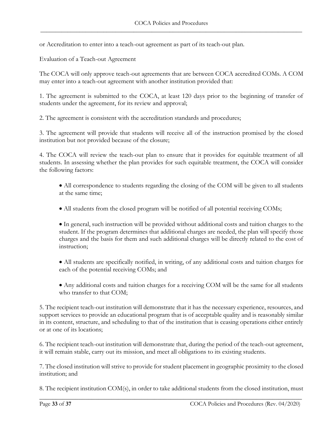or Accreditation to enter into a teach-out agreement as part of its teach-out plan.

<span id="page-32-0"></span>Evaluation of a Teach-out Agreement

The COCA will only approve teach-out agreements that are between COCA accredited COMs. A COM may enter into a teach-out agreement with another institution provided that:

1. The agreement is submitted to the COCA, at least 120 days prior to the beginning of transfer of students under the agreement, for its review and approval;

2. The agreement is consistent with the accreditation standards and procedures;

3. The agreement will provide that students will receive all of the instruction promised by the closed institution but not provided because of the closure;

4. The COCA will review the teach-out plan to ensure that it provides for equitable treatment of all students. In assessing whether the plan provides for such equitable treatment, the COCA will consider the following factors:

• All correspondence to students regarding the closing of the COM will be given to all students at the same time;

• All students from the closed program will be notified of all potential receiving COMs;

• In general, such instruction will be provided without additional costs and tuition charges to the student. If the program determines that additional charges are needed, the plan will specify those charges and the basis for them and such additional charges will be directly related to the cost of instruction;

• All students are specifically notified, in writing, of any additional costs and tuition charges for each of the potential receiving COMs; and

• Any additional costs and tuition charges for a receiving COM will be the same for all students who transfer to that COM;

5. The recipient teach-out institution will demonstrate that it has the necessary experience, resources, and support services to provide an educational program that is of acceptable quality and is reasonably similar in its content, structure, and scheduling to that of the institution that is ceasing operations either entirely or at one of its locations;

6. The recipient teach-out institution will demonstrate that, during the period of the teach-out agreement, it will remain stable, carry out its mission, and meet all obligations to its existing students.

7. The closed institution will strive to provide for student placement in geographic proximity to the closed institution; and

\_\_\_\_\_\_\_\_\_\_\_\_\_\_\_\_\_\_\_\_\_\_\_\_\_\_\_\_\_\_\_\_\_\_\_\_\_\_\_\_\_\_\_\_\_\_\_\_\_\_\_\_\_\_\_\_\_\_\_\_\_\_\_\_\_\_\_\_\_\_\_\_\_\_\_\_\_\_\_\_ 8. The recipient institution COM(s), in order to take additional students from the closed institution, must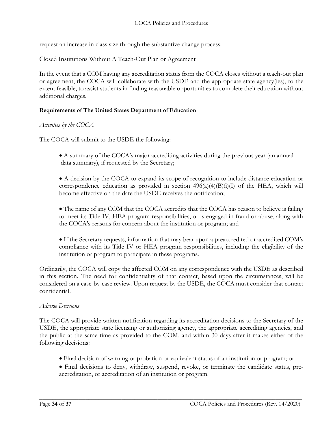request an increase in class size through the substantive change process.

<span id="page-33-0"></span>Closed Institutions Without A Teach-Out Plan or Agreement

In the event that a COM having any accreditation status from the COCA closes without a teach-out plan or agreement, the COCA will collaborate with the USDE and the appropriate state agency(ies), to the extent feasible, to assist students in finding reasonable opportunities to complete their education without additional charges.

#### <span id="page-33-1"></span>**Requirements of The United States Department of Education**

#### <span id="page-33-2"></span>*Activities by the COCA*

The COCA will submit to the USDE the following:

• A summary of the COCA's major accrediting activities during the previous year (an annual data summary), if requested by the Secretary;

• A decision by the COCA to expand its scope of recognition to include distance education or correspondence education as provided in section  $496(a)(4)(B)(i)(I)$  of the HEA, which will become effective on the date the USDE receives the notification;

• The name of any COM that the COCA accredits that the COCA has reason to believe is failing to meet its Title IV, HEA program responsibilities, or is engaged in fraud or abuse, along with the COCA's reasons for concern about the institution or program; and

• If the Secretary requests, information that may bear upon a preaccredited or accredited COM's compliance with its Title IV or HEA program responsibilities, including the eligibility of the institution or program to participate in these programs.

Ordinarily, the COCA will copy the affected COM on any correspondence with the USDE as described in this section. The need for confidentiality of that contact, based upon the circumstances, will be considered on a case-by-case review. Upon request by the USDE, the COCA must consider that contact confidential.

#### <span id="page-33-3"></span>*Adverse Decisions*

The COCA will provide written notification regarding its accreditation decisions to the Secretary of the USDE, the appropriate state licensing or authorizing agency, the appropriate accrediting agencies, and the public at the same time as provided to the COM, and within 30 days after it makes either of the following decisions:

- Final decision of warning or probation or equivalent status of an institution or program; or
- Final decisions to deny, withdraw, suspend, revoke, or terminate the candidate status, preaccreditation, or accreditation of an institution or program.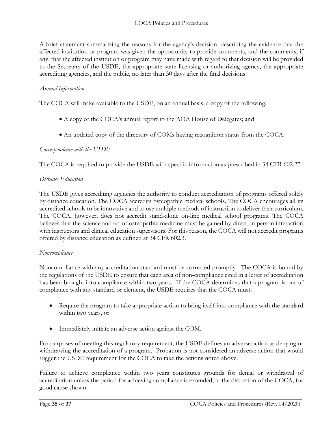A brief statement summarizing the reasons for the agency's decision, describing the evidence that the affected institution or program was given the opportunity to provide comments, and the comments, if any, that the affected institution or program may have made with regard to that decision will be provided to the Secretary of the USDE, the appropriate state licensing or authorizing agency, the appropriate accrediting agencies, and the public, no later than 30 days after the final decisions.

### <span id="page-34-0"></span>*Annual Information*

The COCA will make available to the USDE, on an annual basis, a copy of the following:

- A copy of the COCA's annual report to the AOA House of Delegates; and
- An updated copy of the directory of COMs having recognition status from the COCA.

### *Correspondence with the USDE*

The COCA is required to provide the USDE with specific information as prescribed in 34 CFR 602.27.

### <span id="page-34-1"></span>*Distance Education*

The USDE gives accrediting agencies the authority to conduct accreditation of programs offered solely by distance education. The COCA accredits osteopathic medical schools. The COCA encourages all its accredited schools to be innovative and to use multiple methods of instruction to deliver their curriculum. The COCA, however, does not accredit stand-alone on-line medical school programs. The COCA believes that the science and art of osteopathic medicine must be gained by direct, in person interaction with instructors and clinical education supervisors. For this reason, the COCA will not accredit programs offered by distance education as defined at 34 CFR 602.3.

#### <span id="page-34-2"></span>*Noncompliance*

Noncompliance with any accreditation standard must be corrected promptly. The COCA is bound by the regulations of the USDE to ensure that each area of non-compliance cited in a letter of accreditation has been brought into compliance within two years. If the COCA determines that a program is out of compliance with any standard or element, the USDE requires that the COCA must:

- Require the program to take appropriate action to bring itself into compliance with the standard within two years, or
- Immediately initiate an adverse action against the COM.

For purposes of meeting this regulatory requirement, the USDE defines an adverse action as denying or withdrawing the accreditation of a program. Probation is not considered an adverse action that would trigger the USDE requirement for the COCA to take the actions noted above.

Failure to achieve compliance within two years constitutes grounds for denial or withdrawal of accreditation unless the period for achieving compliance is extended, at the discretion of the COCA, for good cause shown.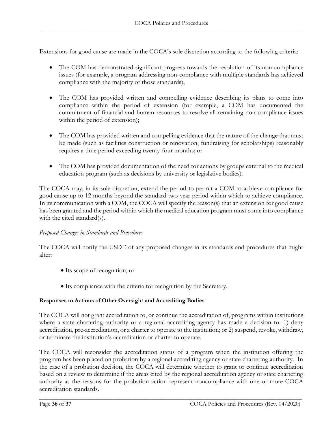Extensions for good cause are made in the COCA's sole discretion according to the following criteria:

- The COM has demonstrated significant progress towards the resolution of its non-compliance issues (for example, a program addressing non-compliance with multiple standards has achieved compliance with the majority of those standards);
- The COM has provided written and compelling evidence describing its plans to come into compliance within the period of extension (for example, a COM has documented the commitment of financial and human resources to resolve all remaining non-compliance issues within the period of extension);
- The COM has provided written and compelling evidence that the nature of the change that must be made (such as facilities construction or renovation, fundraising for scholarships) reasonably requires a time period exceeding twenty-four months; or
- The COM has provided documentation of the need for actions by groups external to the medical education program (such as decisions by university or legislative bodies).

The COCA may, in its sole discretion, extend the period to permit a COM to achieve compliance for good cause up to 12 months beyond the standard two-year period within which to achieve compliance. In its communication with a COM, the COCA will specify the reason(s) that an extension for good cause has been granted and the period within which the medical education program must come into compliance with the cited standard(s).

#### <span id="page-35-0"></span>*Proposed Changes in Standards and Procedures*

The COCA will notify the USDE of any proposed changes in its standards and procedures that might alter:

- Its scope of recognition, or
- Its compliance with the criteria for recognition by the Secretary.

#### <span id="page-35-1"></span>**Responses to Actions of Other Oversight and Accrediting Bodies**

The COCA will not grant accreditation to, or continue the accreditation of, programs within institutions where a state chartering authority or a regional accrediting agency has made a decision to: 1) deny accreditation, pre-accreditation, or a charter to operate to the institution; or 2) suspend, revoke, withdraw, or terminate the institution's accreditation or charter to operate.

The COCA will reconsider the accreditation status of a program when the institution offering the program has been placed on probation by a regional accrediting agency or state chartering authority. In the case of a probation decision, the COCA will determine whether to grant or continue accreditation based on a review to determine if the areas cited by the regional accreditation agency or state chartering authority as the reasons for the probation action represent noncompliance with one or more COCA accreditation standards.